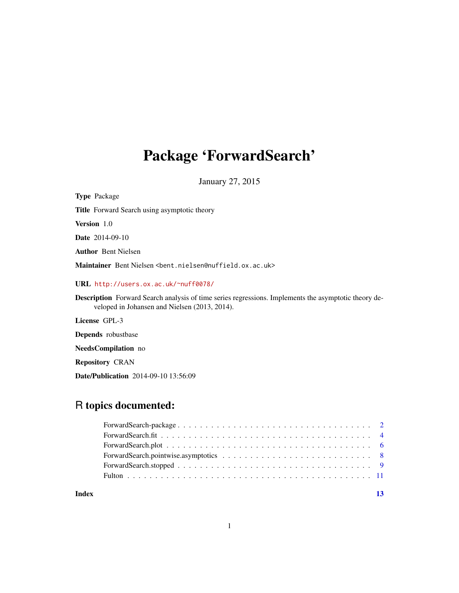# Package 'ForwardSearch'

January 27, 2015

| <b>Type Package</b>                                                                                                                                          |
|--------------------------------------------------------------------------------------------------------------------------------------------------------------|
| <b>Title</b> Forward Search using asymptotic theory                                                                                                          |
| <b>Version</b> 1.0                                                                                                                                           |
| <b>Date</b> 2014-09-10                                                                                                                                       |
| <b>Author</b> Bent Nielsen                                                                                                                                   |
| Maintainer Bent Nielsen <bent.nielsen@nuffield.ox.ac.uk></bent.nielsen@nuffield.ox.ac.uk>                                                                    |
| URL http://users.ox.ac.uk/~nuff0078/                                                                                                                         |
| <b>Description</b> Forward Search analysis of time series regressions. Implements the asymptotic theory de-<br>veloped in Johansen and Nielsen (2013, 2014). |
| License GPL-3                                                                                                                                                |
| <b>Depends</b> robustbase                                                                                                                                    |
| <b>NeedsCompilation</b> no                                                                                                                                   |
| <b>Repository CRAN</b>                                                                                                                                       |
|                                                                                                                                                              |

# Date/Publication 2014-09-10 13:56:09

# R topics documented:

#### **Index** [13](#page-12-0)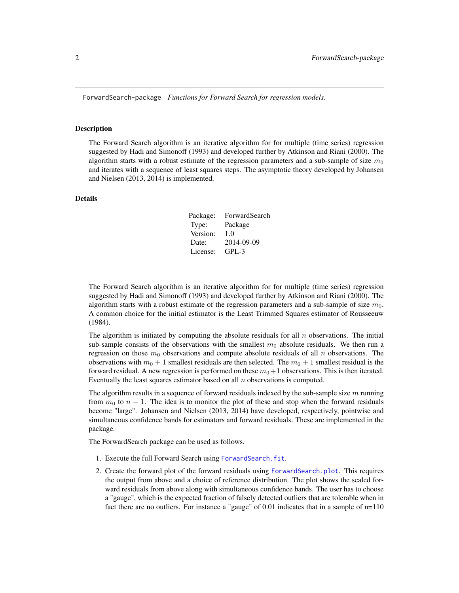<span id="page-1-0"></span>ForwardSearch-package *Functions for Forward Search for regression models.*

#### Description

The Forward Search algorithm is an iterative algorithm for for multiple (time series) regression suggested by Hadi and Simonoff (1993) and developed further by Atkinson and Riani (2000). The algorithm starts with a robust estimate of the regression parameters and a sub-sample of size  $m_0$ and iterates with a sequence of least squares steps. The asymptotic theory developed by Johansen and Nielsen (2013, 2014) is implemented.

# Details

| Package: | ForwardSearch |
|----------|---------------|
| Type:    | Package       |
| Version: | 1.0           |
| Date:    | 2014-09-09    |
| License: | $GPI - 3$     |

The Forward Search algorithm is an iterative algorithm for for multiple (time series) regression suggested by Hadi and Simonoff (1993) and developed further by Atkinson and Riani (2000). The algorithm starts with a robust estimate of the regression parameters and a sub-sample of size  $m_0$ . A common choice for the initial estimator is the Least Trimmed Squares estimator of Rousseeuw (1984).

The algorithm is initiated by computing the absolute residuals for all  $n$  observations. The initial sub-sample consists of the observations with the smallest  $m<sub>0</sub>$  absolute residuals. We then run a regression on those  $m_0$  observations and compute absolute residuals of all n observations. The observations with  $m_0 + 1$  smallest residuals are then selected. The  $m_0 + 1$  smallest residual is the forward residual. A new regression is performed on these  $m_0+1$  observations. This is then iterated. Eventually the least squares estimator based on all  $n$  observations is computed.

The algorithm results in a sequence of forward residuals indexed by the sub-sample size  $m$  running from  $m_0$  to  $n - 1$ . The idea is to monitor the plot of these and stop when the forward residuals become "large". Johansen and Nielsen (2013, 2014) have developed, respectively, pointwise and simultaneous confidence bands for estimators and forward residuals. These are implemented in the package.

The ForwardSearch package can be used as follows.

- 1. Execute the full Forward Search using [ForwardSearch.fit](#page-3-1).
- 2. Create the forward plot of the forward residuals using [ForwardSearch.plot](#page-5-1). This requires the output from above and a choice of reference distribution. The plot shows the scaled forward residuals from above along with simultaneous confidence bands. The user has to choose a "gauge", which is the expected fraction of falsely detected outliers that are tolerable when in fact there are no outliers. For instance a "gauge" of 0.01 indicates that in a sample of n=110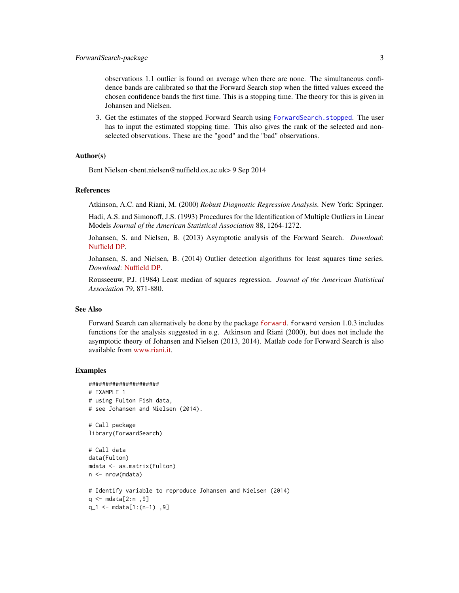<span id="page-2-0"></span>observations 1.1 outlier is found on average when there are none. The simultaneous confidence bands are calibrated so that the Forward Search stop when the fitted values exceed the chosen confidence bands the first time. This is a stopping time. The theory for this is given in Johansen and Nielsen.

3. Get the estimates of the stopped Forward Search using [ForwardSearch.stopped](#page-8-1). The user has to input the estimated stopping time. This also gives the rank of the selected and nonselected observations. These are the "good" and the "bad" observations.

#### Author(s)

Bent Nielsen <bent.nielsen@nuffield.ox.ac.uk> 9 Sep 2014

#### References

Atkinson, A.C. and Riani, M. (2000) *Robust Diagnostic Regression Analysis.* New York: Springer.

Hadi, A.S. and Simonoff, J.S. (1993) Procedures for the Identification of Multiple Outliers in Linear Models *Journal of the American Statistical Association* 88, 1264-1272.

Johansen, S. and Nielsen, B. (2013) Asymptotic analysis of the Forward Search. *Download*: [Nuffield DP.](http://www.nuffield.ox.ac.uk/economics/papers/2013/ForwardSearchAsymp10feb2013.pdf)

Johansen, S. and Nielsen, B. (2014) Outlier detection algorithms for least squares time series. *Download*: [Nuffield DP.](http://www.nuffield.ox.ac.uk/economics/papers/2014/OutlierDetectionAlgorithms.pdf)

Rousseeuw, P.J. (1984) Least median of squares regression. *Journal of the American Statistical Association* 79, 871-880.

#### See Also

Forward Search can alternatively be done by the package [forward](http://cran.r-project.org/web/packages/forward/index.html). forward version 1.0.3 includes functions for the analysis suggested in e.g. Atkinson and Riani (2000), but does not include the asymptotic theory of Johansen and Nielsen (2013, 2014). Matlab code for Forward Search is also available from [www.riani.it.](http://www.riani.it)

# Examples

```
#####################
# EXAMPLE 1
# using Fulton Fish data,
# see Johansen and Nielsen (2014).
# Call package
library(ForwardSearch)
# Call data
data(Fulton)
mdata <- as.matrix(Fulton)
n <- nrow(mdata)
# Identify variable to reproduce Johansen and Nielsen (2014)
q <- mdata[2:n ,9]
q_1 <- mdata[1:(n-1) ,9]
```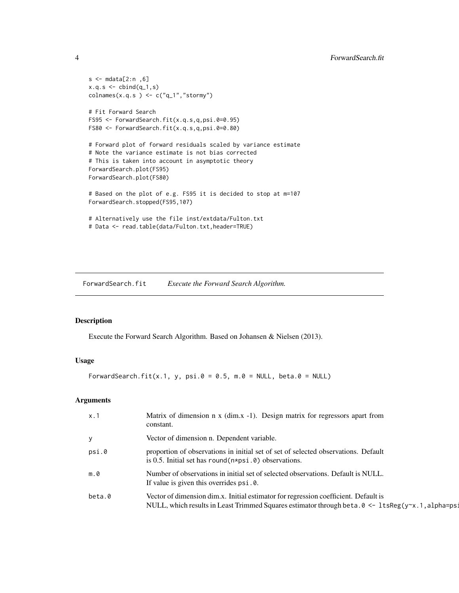```
s < - mdata[2:n, 6]
x.q.s <- cbind(q_1,s)\text{colnames}(x.q.s) \leftarrow c("q_1", "stormy")# Fit Forward Search
FS95 <- ForwardSearch.fit(x.q.s,q,psi.0=0.95)
FS80 <- ForwardSearch.fit(x.q.s,q,psi.0=0.80)
# Forward plot of forward residuals scaled by variance estimate
# Note the variance estimate is not bias corrected
# This is taken into account in asymptotic theory
ForwardSearch.plot(FS95)
ForwardSearch.plot(FS80)
# Based on the plot of e.g. FS95 it is decided to stop at m=107
ForwardSearch.stopped(FS95,107)
# Alternatively use the file inst/extdata/Fulton.txt
# Data <- read.table(data/Fulton.txt,header=TRUE)
```
<span id="page-3-1"></span>ForwardSearch.fit *Execute the Forward Search Algorithm.*

# Description

Execute the Forward Search Algorithm. Based on Johansen & Nielsen (2013).

#### Usage

ForwardSearch.fit(x.1, y, psi.0 = 0.5, m.0 = NULL, beta.0 = NULL)

# Arguments

| x.1          | Matrix of dimension n x (dim.x -1). Design matrix for regressors apart from<br>constant.                                                                                                                |
|--------------|---------------------------------------------------------------------------------------------------------------------------------------------------------------------------------------------------------|
| $\mathbf{y}$ | Vector of dimension n. Dependent variable.                                                                                                                                                              |
| psi.0        | proportion of observations in initial set of set of selected observations. Default<br>is 0.5. Initial set has round $(n \times psi \cdot \theta)$ observations.                                         |
| m.0          | Number of observations in initial set of selected observations. Default is NULL.<br>If value is given this overrides psi.0.                                                                             |
| beta.0       | Vector of dimension dim.x. Initial estimator for regression coefficient. Default is<br>NULL, which results in Least Trimmed Squares estimator through beta. $0 \leq 1$ tsReg(y $\approx$ . 1, alpha=ps: |

<span id="page-3-0"></span>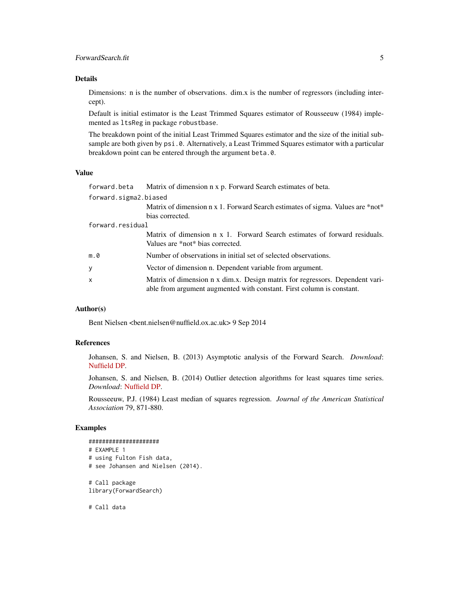#### Details

Dimensions: n is the number of observations. dim.x is the number of regressors (including intercept).

Default is initial estimator is the Least Trimmed Squares estimator of Rousseeuw (1984) implemented as ltsReg in package robustbase.

The breakdown point of the initial Least Trimmed Squares estimator and the size of the initial subsample are both given by psi.0. Alternatively, a Least Trimmed Squares estimator with a particular breakdown point can be entered through the argument beta.0.

## Value

|                       | forward.beta Matrix of dimension n x p. Forward Search estimates of beta.                                                                             |  |
|-----------------------|-------------------------------------------------------------------------------------------------------------------------------------------------------|--|
| forward.sigma2.biased |                                                                                                                                                       |  |
|                       | Matrix of dimension n x 1. Forward Search estimates of sigma. Values are *not*                                                                        |  |
|                       | bias corrected.                                                                                                                                       |  |
| forward.residual      |                                                                                                                                                       |  |
|                       | Matrix of dimension n x 1. Forward Search estimates of forward residuals.                                                                             |  |
|                       | Values are *not* bias corrected.                                                                                                                      |  |
| m.0                   | Number of observations in initial set of selected observations.                                                                                       |  |
| У                     | Vector of dimension n. Dependent variable from argument.                                                                                              |  |
| X                     | Matrix of dimension n x dim.x. Design matrix for regressors. Dependent vari-<br>able from argument augmented with constant. First column is constant. |  |

# Author(s)

Bent Nielsen <bent.nielsen@nuffield.ox.ac.uk> 9 Sep 2014

# References

Johansen, S. and Nielsen, B. (2013) Asymptotic analysis of the Forward Search. *Download*: [Nuffield DP.](http://www.nuffield.ox.ac.uk/economics/papers/2013/ForwardSearchAsymp10feb2013.pdf)

Johansen, S. and Nielsen, B. (2014) Outlier detection algorithms for least squares time series. *Download*: [Nuffield DP.](http://www.nuffield.ox.ac.uk/economics/papers/2014/OutlierDetectionAlgorithms.pdf)

Rousseeuw, P.J. (1984) Least median of squares regression. *Journal of the American Statistical Association* 79, 871-880.

#### Examples

```
#####################
# EXAMPLE 1
# using Fulton Fish data,
# see Johansen and Nielsen (2014).
# Call package
library(ForwardSearch)
```
# Call data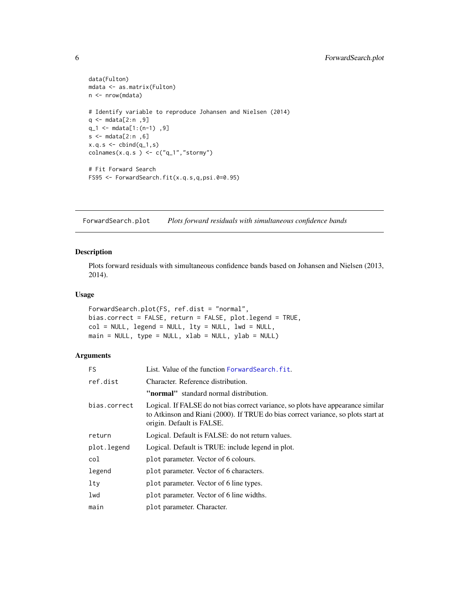```
data(Fulton)
mdata <- as.matrix(Fulton)
n <- nrow(mdata)
# Identify variable to reproduce Johansen and Nielsen (2014)
q <- mdata[2:n ,9]
q_1 <- mdata[1:(n-1) ,9]
s <- mdata[2:n ,6]
x.q.s < - \text{cbind}(q_1,s)colnames(x.q.s ) <- c("q_1", "storm",")# Fit Forward Search
FS95 <- ForwardSearch.fit(x.q.s,q,psi.0=0.95)
```
<span id="page-5-1"></span>ForwardSearch.plot *Plots forward residuals with simultaneous confidence bands*

# Description

Plots forward residuals with simultaneous confidence bands based on Johansen and Nielsen (2013, 2014).

#### Usage

```
ForwardSearch.plot(FS, ref.dist = "normal",
bias.correct = FALSE, return = FALSE, plot.legend = TRUE,
col = NULL, legend = NULL, lty = NULL, lwd = NULL,
main = NULL, type = NULL, xlab = NULL, ylab = NULL)
```
#### Arguments

| <b>FS</b>    | List. Value of the function Forward Search. fit.                                                                                                                                                   |  |
|--------------|----------------------------------------------------------------------------------------------------------------------------------------------------------------------------------------------------|--|
| ref.dist     | Character. Reference distribution.                                                                                                                                                                 |  |
|              | "normal" standard normal distribution.                                                                                                                                                             |  |
| bias.correct | Logical. If FALSE do not bias correct variance, so plots have appearance similar<br>to Atkinson and Riani (2000). If TRUE do bias correct variance, so plots start at<br>origin. Default is FALSE. |  |
| return       | Logical. Default is FALSE: do not return values.                                                                                                                                                   |  |
| plot.legend  | Logical. Default is TRUE: include legend in plot.                                                                                                                                                  |  |
| col          | plot parameter. Vector of 6 colours.                                                                                                                                                               |  |
| legend       | plot parameter. Vector of 6 characters.                                                                                                                                                            |  |
| $1$ ty       | plot parameter. Vector of 6 line types.                                                                                                                                                            |  |
| lwd          | plot parameter. Vector of 6 line widths.                                                                                                                                                           |  |
| main         | plot parameter. Character.                                                                                                                                                                         |  |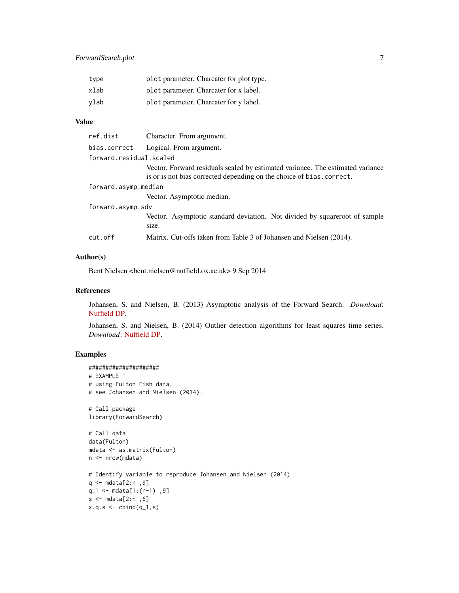# ForwardSearch.plot 7

| type | plot parameter. Charcater for plot type. |
|------|------------------------------------------|
| xlab | plot parameter. Charcater for x label.   |
| vlab | plot parameter. Charcater for y label.   |

# Value

| ref.dist                | Character. From argument.                                                                                                                               |
|-------------------------|---------------------------------------------------------------------------------------------------------------------------------------------------------|
| bias.correct            | Logical. From argument.                                                                                                                                 |
| forward.residual.scaled |                                                                                                                                                         |
|                         | Vector. Forward residuals scaled by estimated variance. The estimated variance<br>is or is not bias corrected depending on the choice of bias. correct. |
| forward.asymp.median    |                                                                                                                                                         |
|                         | Vector. Asymptotic median.                                                                                                                              |
| forward.asymp.sdv       |                                                                                                                                                         |
|                         | Vector. Asymptotic standard deviation. Not divided by squareroot of sample<br>size.                                                                     |
| cut.off                 | Matrix. Cut-offs taken from Table 3 of Johansen and Nielsen (2014).                                                                                     |
|                         |                                                                                                                                                         |

#### Author(s)

Bent Nielsen <bent.nielsen@nuffield.ox.ac.uk> 9 Sep 2014

#### References

Johansen, S. and Nielsen, B. (2013) Asymptotic analysis of the Forward Search. *Download*: [Nuffield DP.](http://www.nuffield.ox.ac.uk/economics/papers/2013/ForwardSearchAsymp10feb2013.pdf)

Johansen, S. and Nielsen, B. (2014) Outlier detection algorithms for least squares time series. *Download*: [Nuffield DP.](http://www.nuffield.ox.ac.uk/economics/papers/2014/OutlierDetectionAlgorithms.pdf)

# Examples

```
#####################
# EXAMPLE 1
# using Fulton Fish data,
# see Johansen and Nielsen (2014).
# Call package
library(ForwardSearch)
# Call data
data(Fulton)
mdata <- as.matrix(Fulton)
n <- nrow(mdata)
# Identify variable to reproduce Johansen and Nielsen (2014)
q <- mdata[2:n ,9]
q_1 \leftarrow \text{mdata}[1:(n-1), 9]s <- mdata[2:n ,6]
x.q.s < - \text{cbind}(q_1,s)
```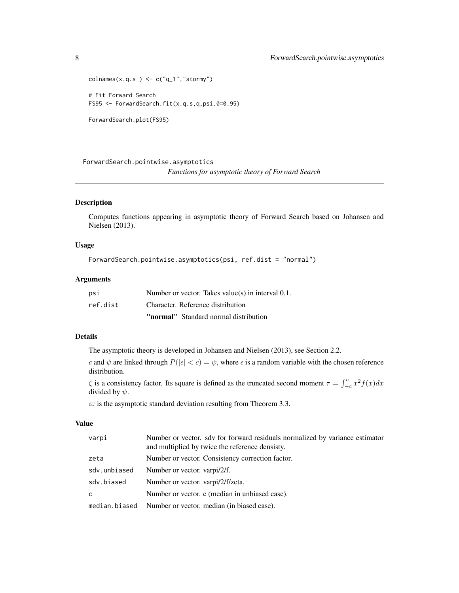```
colnames(x.q.s ) <- c("q_1", "storm",")# Fit Forward Search
FS95 <- ForwardSearch.fit(x.q.s,q,psi.0=0.95)
```

```
ForwardSearch.plot(FS95)
```
ForwardSearch.pointwise.asymptotics *Functions for asymptotic theory of Forward Search*

# Description

Computes functions appearing in asymptotic theory of Forward Search based on Johansen and Nielsen (2013).

## Usage

```
ForwardSearch.pointwise.asymptotics(psi, ref.dist = "normal")
```
#### Arguments

| psi      | Number or vector. Takes value(s) in interval $0.1$ . |
|----------|------------------------------------------------------|
| ref.dist | Character. Reference distribution                    |
|          | <b>"normal"</b> Standard normal distribution         |

# Details

The asymptotic theory is developed in Johansen and Nielsen (2013), see Section 2.2.

c and  $\psi$  are linked through  $P(|\epsilon| < c) = \psi$ , where  $\epsilon$  is a random variable with the chosen reference distribution.

 $\zeta$  is a consistency factor. Its square is defined as the truncated second moment  $\tau = \int_{-c}^{c} x^2 f(x) dx$ divided by  $\psi$ .

 $\varpi$  is the asymptotic standard deviation resulting from Theorem 3.3.

#### Value

| varpi         | Number or vector. sdv for forward residuals normalized by variance estimator<br>and multiplied by twice the reference densisty. |
|---------------|---------------------------------------------------------------------------------------------------------------------------------|
| zeta          | Number or vector. Consistency correction factor.                                                                                |
| sdv.unbiased  | Number or vector. varpi/2/f.                                                                                                    |
| sdv.biased    | Number or vector. varpi/2/f/zeta.                                                                                               |
| C             | Number or vector. c (median in unbiased case).                                                                                  |
| median.biased | Number or vector, median (in biased case).                                                                                      |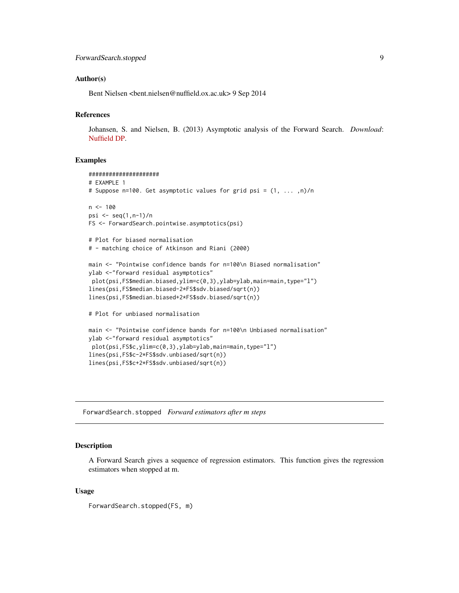#### <span id="page-8-0"></span>Author(s)

Bent Nielsen <bent.nielsen@nuffield.ox.ac.uk> 9 Sep 2014

# References

Johansen, S. and Nielsen, B. (2013) Asymptotic analysis of the Forward Search. *Download*: [Nuffield DP.](http://www.nuffield.ox.ac.uk/economics/papers/2013/ForwardSearchAsymp10feb2013.pdf)

# Examples

```
#####################
# EXAMPLE 1
# Suppose n=100. Get asymptotic values for grid psi = (1, ... ,n)/n
n <- 100
psi <- seq(1,n-1)/n
FS <- ForwardSearch.pointwise.asymptotics(psi)
# Plot for biased normalisation
# - matching choice of Atkinson and Riani (2000)
main <- "Pointwise confidence bands for n=100\n Biased normalisation"
ylab <-"forward residual asymptotics"
plot(psi,FS$median.biased,ylim=c(0,3),ylab=ylab,main=main,type="l")
lines(psi,FS$median.biased-2*FS$sdv.biased/sqrt(n))
lines(psi,FS$median.biased+2*FS$sdv.biased/sqrt(n))
# Plot for unbiased normalisation
main <- "Pointwise confidence bands for n=100\n Unbiased normalisation"
ylab <-"forward residual asymptotics"
 plot(psi,FS$c,ylim=c(0,3),ylab=ylab,main=main,type="l")
lines(psi,FS$c-2*FS$sdv.unbiased/sqrt(n))
lines(psi,FS$c+2*FS$sdv.unbiased/sqrt(n))
```
<span id="page-8-1"></span>ForwardSearch.stopped *Forward estimators after m steps*

# **Description**

A Forward Search gives a sequence of regression estimators. This function gives the regression estimators when stopped at m.

#### Usage

ForwardSearch.stopped(FS, m)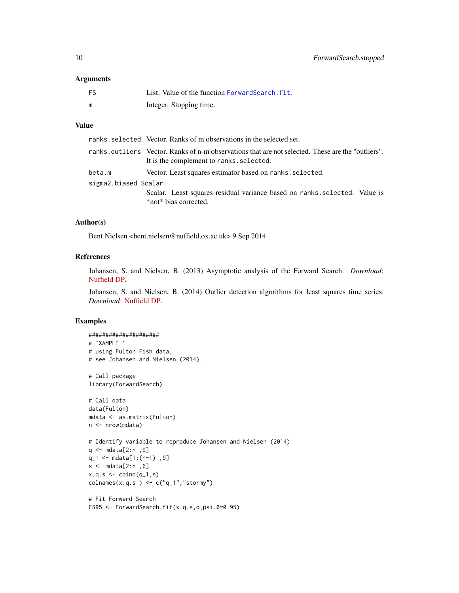# <span id="page-9-0"></span>Arguments

| FS | List. Value of the function Forward Search, fit. |
|----|--------------------------------------------------|
| m  | Integer. Stopping time.                          |

# Value

|                       | ranks, selected Vector. Ranks of m observations in the selected set.                                                                          |
|-----------------------|-----------------------------------------------------------------------------------------------------------------------------------------------|
|                       | ranks.outliers Vector. Ranks of n-m observations that are not selected. These are the "outliers".<br>It is the complement to ranks. selected. |
| beta.m                | Vector. Least squares estimator based on ranks. selected.                                                                                     |
| sigma2.biased Scalar. |                                                                                                                                               |
|                       | Scalar. Least squares residual variance based on ranks selected. Value is<br>*not* bias corrected.                                            |

# Author(s)

Bent Nielsen <bent.nielsen@nuffield.ox.ac.uk> 9 Sep 2014

#### References

Johansen, S. and Nielsen, B. (2013) Asymptotic analysis of the Forward Search. *Download*: [Nuffield DP.](http://www.nuffield.ox.ac.uk/economics/papers/2013/ForwardSearchAsymp10feb2013.pdf)

Johansen, S. and Nielsen, B. (2014) Outlier detection algorithms for least squares time series. *Download*: [Nuffield DP.](http://www.nuffield.ox.ac.uk/economics/papers/2014/OutlierDetectionAlgorithms.pdf)

# Examples

```
#####################
# EXAMPLE 1
# using Fulton Fish data,
# see Johansen and Nielsen (2014).
# Call package
library(ForwardSearch)
# Call data
data(Fulton)
mdata <- as.matrix(Fulton)
n <- nrow(mdata)
# Identify variable to reproduce Johansen and Nielsen (2014)
q <- mdata[2:n ,9]
q_1 <- mdata[1:(n-1) ,9]
s < - mdata[2:n, 6]
x.q.s <- cbind(q_1,s)colnames(x.q.s ) <- c("q_1", "storm",")# Fit Forward Search
```

```
FS95 <- ForwardSearch.fit(x.q.s,q,psi.0=0.95)
```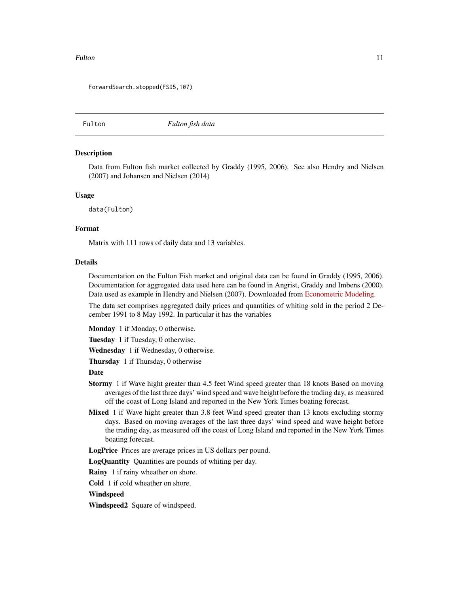#### <span id="page-10-0"></span>Fulton 2008 and 2009 and 2009 and 2009 and 2009 and 2009 and 2009 and 2009 and 2009 and 2009 and 2009 and 2009

ForwardSearch.stopped(FS95,107)

Fulton *Fulton fish data*

#### **Description**

Data from Fulton fish market collected by Graddy (1995, 2006). See also Hendry and Nielsen (2007) and Johansen and Nielsen (2014)

#### Usage

data(Fulton)

# Format

Matrix with 111 rows of daily data and 13 variables.

#### Details

Documentation on the Fulton Fish market and original data can be found in Graddy (1995, 2006). Documentation for aggregated data used here can be found in Angrist, Graddy and Imbens (2000). Data used as example in Hendry and Nielsen (2007). Downloaded from [Econometric Modeling.](http://users.ox.ac.uk/~nuff0078/EconometricModeling/)

The data set comprises aggregated daily prices and quantities of whiting sold in the period 2 December 1991 to 8 May 1992. In particular it has the variables

Monday 1 if Monday, 0 otherwise.

Tuesday 1 if Tuesday, 0 otherwise.

Wednesday 1 if Wednesday, 0 otherwise.

Thursday 1 if Thursday, 0 otherwise

#### Date

- Stormy 1 if Wave hight greater than 4.5 feet Wind speed greater than 18 knots Based on moving averages of the last three days' wind speed and wave height before the trading day, as measured off the coast of Long Island and reported in the New York Times boating forecast.
- Mixed 1 if Wave hight greater than 3.8 feet Wind speed greater than 13 knots excluding stormy days. Based on moving averages of the last three days' wind speed and wave height before the trading day, as measured off the coast of Long Island and reported in the New York Times boating forecast.

LogPrice Prices are average prices in US dollars per pound.

LogQuantity Quantities are pounds of whiting per day.

**Rainy** 1 if rainy wheather on shore.

Cold 1 if cold wheather on shore.

# Windspeed

Windspeed2 Square of windspeed.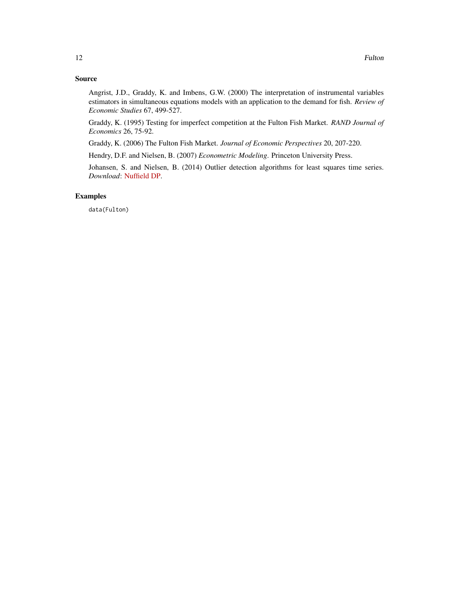# Source

Angrist, J.D., Graddy, K. and Imbens, G.W. (2000) The interpretation of instrumental variables estimators in simultaneous equations models with an application to the demand for fish. *Review of Economic Studies* 67, 499-527.

Graddy, K. (1995) Testing for imperfect competition at the Fulton Fish Market. *RAND Journal of Economics* 26, 75-92.

Graddy, K. (2006) The Fulton Fish Market. *Journal of Economic Perspectives* 20, 207-220.

Hendry, D.F. and Nielsen, B. (2007) *Econometric Modeling*. Princeton University Press.

Johansen, S. and Nielsen, B. (2014) Outlier detection algorithms for least squares time series. *Download*: [Nuffield DP.](http://www.nuffield.ox.ac.uk/economics/papers/2014/OutlierDetectionAlgorithms.pdf)

#### Examples

data(Fulton)